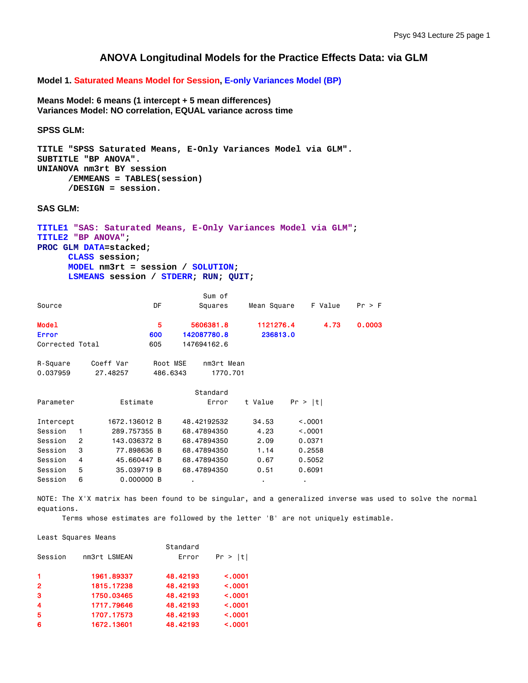# **ANOVA Longitudinal Models for the Practice Effects Data: via GLM**

**Model 1. Saturated Means Model for Session, E-only Variances Model (BP)**

**Means Model: 6 means (1 intercept + 5 mean differences) Variances Model: NO correlation, EQUAL variance across time** 

**SPSS GLM:** 

```
TITLE "SPSS Saturated Means, E-Only Variances Model via GLM". 
SUBTITLE "BP ANOVA". 
UNIANOVA nm3rt BY session 
       /EMMEANS = TABLES(session) 
       /DESIGN = session.
```
**SAS GLM:** 

```
TITLE1 "SAS: Saturated Means, E-Only Variances Model via GLM"; 
TITLE2 "BP ANOVA"; 
PROC GLM DATA=stacked; 
      CLASS session; 
      MODEL nm3rt = session / SOLUTION; 
      LSMEANS session / STDERR; RUN; QUIT;
```

|                 |                |           |               |     |          | Sum of      |             |          |         |         |        |
|-----------------|----------------|-----------|---------------|-----|----------|-------------|-------------|----------|---------|---------|--------|
| Source          |                |           |               | DF  |          | Squares     | Mean Square |          |         | F Value | Pr > F |
| <b>Model</b>    |                |           |               | 5   |          | 5606381.8   | 1121276.4   |          |         | 4.73    | 0.0003 |
| <b>Error</b>    |                |           |               | 600 |          | 142087780.8 |             | 236813.0 |         |         |        |
| Corrected Total |                |           |               | 605 |          | 147694162.6 |             |          |         |         |        |
|                 |                | Coeff Var |               |     | Root MSE | nm3rt Mean  |             |          |         |         |        |
| R-Square        |                |           |               |     |          |             |             |          |         |         |        |
| 0.037959        |                | 27.48257  |               |     | 486.6343 | 1770.701    |             |          |         |         |        |
|                 |                |           |               |     |          | Standard    |             |          |         |         |        |
| Parameter       |                |           | Estimate      |     |          | Error       | t Value     |          | Pr >  t |         |        |
| Intercept       |                |           | 1672.136012 B |     |          | 48.42192532 | 34.53       |          | < 0.001 |         |        |
| Session         | 1              |           | 289.757355 B  |     |          | 68,47894350 | 4.23        |          | < 0.001 |         |        |
| Session         | $\overline{2}$ |           | 143.036372 B  |     |          | 68,47894350 | 2.09        |          | 0.0371  |         |        |
| Session         | 3              |           | 77.898636 B   |     |          | 68.47894350 | 1.14        |          | 0.2558  |         |        |
| Session         | 4              |           | 45.660447 B   |     |          | 68,47894350 | 0.67        |          | 0.5052  |         |        |
| Session         | 5              |           | 35,039719 B   |     |          | 68,47894350 | 0.51        |          | 0.6091  |         |        |
| Session         | 6              |           | 0.000000 B    |     |          |             |             |          | ٠       |         |        |

NOTE: The X'X matrix has been found to be singular, and a generalized inverse was used to solve the normal equations.

Terms whose estimates are followed by the letter 'B' are not uniquely estimable.

Least Squares Means

|                         |              | Standard |         |
|-------------------------|--------------|----------|---------|
| Session                 | nm3rt LSMEAN | Error    | Pr >  t |
| $\blacktriangleleft$    | 1961.89337   | 48.42193 | < .0001 |
| $\overline{2}$          | 1815.17238   | 48.42193 | < .0001 |
| 3                       | 1750.03465   | 48.42193 | < .0001 |
| $\overline{\mathbf{4}}$ | 1717.79646   | 48.42193 | < .0001 |
| 5                       | 1707.17573   | 48.42193 | < .0001 |
| 6                       | 1672.13601   | 48.42193 | < .0001 |
|                         |              |          |         |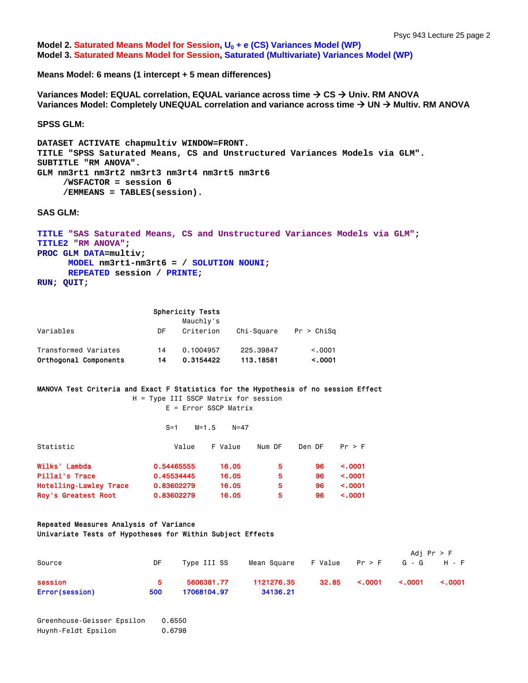**Model 2. Saturated Means Model for Session, U<sub>0</sub> + e (CS) Variances Model (WP) Model 3. Saturated Means Model for Session, Saturated (Multivariate) Variances Model (WP)**

**Means Model: 6 means (1 intercept + 5 mean differences)** 

**Variances Model: EQUAL correlation, EQUAL variance across time**  $\rightarrow$  **CS → Univ. RM ANOVA** Variances Model: Completely UNEQUAL correlation and variance across time → UN → Multiv. RM ANOVA

**SPSS GLM:** 

```
DATASET ACTIVATE chapmultiv WINDOW=FRONT. 
TITLE "SPSS Saturated Means, CS and Unstructured Variances Models via GLM". 
SUBTITLE "RM ANOVA". 
GLM nm3rt1 nm3rt2 nm3rt3 nm3rt4 nm3rt5 nm3rt6 
      /WSFACTOR = session 6 
      /EMMEANS = TABLES(session).
```
**SAS GLM:** 

```
TITLE "SAS Saturated Means, CS and Unstructured Variances Models via GLM"; 
TITLE2 "RM ANOVA"; 
PROC GLM DATA=multiv; 
      MODEL nm3rt1-nm3rt6 = / SOLUTION NOUNI; 
      REPEATED session / PRINTE; 
RUN; QUIT;
```

|                                               |          | <b>Sphericity Tests</b><br>Mauchly's |                        |                    |
|-----------------------------------------------|----------|--------------------------------------|------------------------|--------------------|
| Variables                                     | DF       | Criterion                            | Chi-Square             | Pr > Chisq         |
| Transformed Variates<br>Orthogonal Components | 14<br>14 | 0.1004957<br>0.3154422               | 225.39847<br>113.18581 | < 0.001<br>< .0001 |

### MANOVA Test Criteria and Exact F Statistics for the Hypothesis of no session Effect

 H = Type III SSCP Matrix for session E = Error SSCP Matrix

|                        | $S = 1$    | $M=1.5$<br>$N=47$ |        |        |              |
|------------------------|------------|-------------------|--------|--------|--------------|
| Statistic              | Value      | F Value           | Num DF | Den DF | Pr > F       |
| Wilks' Lambda          | 0.54465555 | 16.05             | 5      | 96     | $\leq$ .0001 |
| Pillai's Trace         | 0.45534445 | 16.05             | 5      | 96     | $\leq$ .0001 |
| Hotelling-Lawley Trace | 0.83602279 | 16.05             | 5      | 96     | $\leq$ .0001 |
| Roy's Greatest Root    | 0.83602279 | 16.05             | 5      | 96     | $\leq$ .0001 |

#### Repeated Measures Analysis of Variance Univariate Tests of Hypotheses for Within Subject Effects

|                |     |             |             |         |              | Adj $Pr > F$ |              |
|----------------|-----|-------------|-------------|---------|--------------|--------------|--------------|
| Source         | DF  | Type III SS | Mean Square | F Value | Pr > F       |              | G-G H-F      |
| session        | 5.  | 5606381.77  | 1121276.35  | 32.85   | $\leq 0.001$ | < .0001      | $\leq$ .0001 |
| Error(session) | 500 | 17068104.97 | 34136.21    |         |              |              |              |

```
Greenhouse-Geisser Epsilon 0.6550 
Huynh-Feldt Epsilon 0.6798
```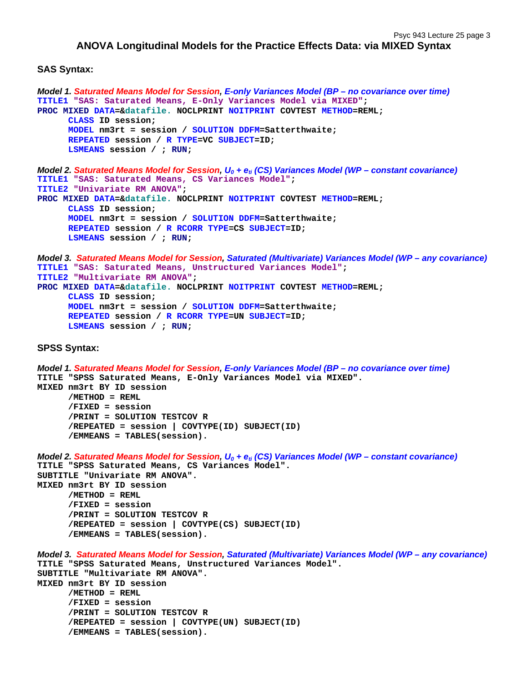# **ANOVA Longitudinal Models for the Practice Effects Data: via MIXED Syntax**

### **SAS Syntax:**

```
Model 1. Saturated Means Model for Session, E-only Variances Model (BP – no covariance over time)
TITLE1 "SAS: Saturated Means, E-Only Variances Model via MIXED"; 
PROC MIXED DATA=&datafile. NOCLPRINT NOITPRINT COVTEST METHOD=REML; 
      CLASS ID session; 
      MODEL nm3rt = session / SOLUTION DDFM=Satterthwaite; 
      REPEATED session / R TYPE=VC SUBJECT=ID; 
      LSMEANS session / ; RUN; 
Model 2. Saturated Means Model for Session, U<sub>0</sub> + e<sub>ti</sub> (CS) Variances Model (WP – constant covariance)
TITLE1 "SAS: Saturated Means, CS Variances Model"; 
TITLE2 "Univariate RM ANOVA"; 
PROC MIXED DATA=&datafile. NOCLPRINT NOITPRINT COVTEST METHOD=REML; 
      CLASS ID session; 
      MODEL nm3rt = session / SOLUTION DDFM=Satterthwaite; 
      REPEATED session / R RCORR TYPE=CS SUBJECT=ID; 
      LSMEANS session / ; RUN; 
Model 3. Saturated Means Model for Session, Saturated (Multivariate) Variances Model (WP – any covariance)
TITLE1 "SAS: Saturated Means, Unstructured Variances Model"; 
TITLE2 "Multivariate RM ANOVA"; 
PROC MIXED DATA=&datafile. NOCLPRINT NOITPRINT COVTEST METHOD=REML; 
      CLASS ID session; 
      MODEL nm3rt = session / SOLUTION DDFM=Satterthwaite; 
      REPEATED session / R RCORR TYPE=UN SUBJECT=ID; 
       LSMEANS session / ; RUN;
SPSS Syntax: 
Model 1. Saturated Means Model for Session, E-only Variances Model (BP – no covariance over time)
TITLE "SPSS Saturated Means, E-Only Variances Model via MIXED". 
MIXED nm3rt BY ID session 
       /METHOD = REML 
       /FIXED = session 
       /PRINT = SOLUTION TESTCOV R 
       /REPEATED = session | COVTYPE(ID) SUBJECT(ID) 
      /EMMEANS = TABLES(session). 
Model 2. Saturated Means Model for Session, U<sub>0</sub> + e<sub>ti</sub> (CS) Variances Model (WP – constant covariance)
TITLE "SPSS Saturated Means, CS Variances Model". 
SUBTITLE "Univariate RM ANOVA". 
MIXED nm3rt BY ID session 
       /METHOD = REML 
       /FIXED = session 
       /PRINT = SOLUTION TESTCOV R 
       /REPEATED = session | COVTYPE(CS) SUBJECT(ID) 
       /EMMEANS = TABLES(session). 
Model 3. Saturated Means Model for Session, Saturated (Multivariate) Variances Model (WP – any covariance)
TITLE "SPSS Saturated Means, Unstructured Variances Model". 
SUBTITLE "Multivariate RM ANOVA". 
MIXED nm3rt BY ID session 
       /METHOD = REML 
       /FIXED = session 
       /PRINT = SOLUTION TESTCOV R 
       /REPEATED = session | COVTYPE(UN) SUBJECT(ID) 
      /EMMEANS = TABLES(session).
```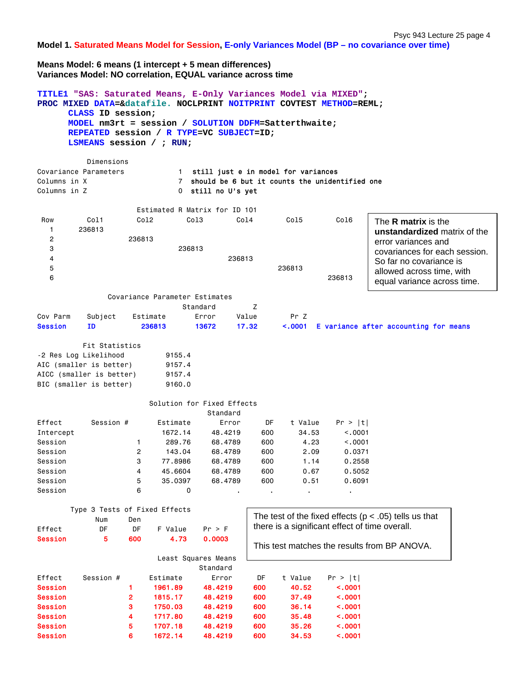Psyc 943 Lecture 25 page 4

**Model 1. Saturated Means Model for Session, E-only Variances Model (BP – no covariance over time)**

**Means Model: 6 means (1 intercept + 5 mean differences) Variances Model: NO correlation, EQUAL variance across time** 

|                | CLASS ID session:<br>LSMEANS session / ; RUN;       |                |                                | TITLE1 "SAS: Saturated Means, E-Only Variances Model via MIXED";<br>PROC MIXED DATA=&datafile. NOCLPRINT NOITPRINT COVTEST METHOD=REML;<br>MODEL nm3rt = session / SOLUTION DDFM=Satterthwaite;<br>REPEATED session / R TYPE=VC SUBJECT=ID; |       |               |                                                |                                                           |
|----------------|-----------------------------------------------------|----------------|--------------------------------|---------------------------------------------------------------------------------------------------------------------------------------------------------------------------------------------------------------------------------------------|-------|---------------|------------------------------------------------|-----------------------------------------------------------|
|                | Dimensions                                          |                |                                |                                                                                                                                                                                                                                             |       |               |                                                |                                                           |
|                | Covariance Parameters                               |                | $1 \quad$                      | still just e in model for variances                                                                                                                                                                                                         |       |               |                                                |                                                           |
| Columns in X   |                                                     |                | $7^{\circ}$                    | should be 6 but it counts the unidentified one                                                                                                                                                                                              |       |               |                                                |                                                           |
| Columns in Z   |                                                     |                | $\mathbf{O}$                   | still no U's yet                                                                                                                                                                                                                            |       |               |                                                |                                                           |
|                |                                                     |                |                                | Estimated R Matrix for ID 101                                                                                                                                                                                                               |       |               |                                                |                                                           |
| Row            | Col1                                                |                | Co12<br>Col <sub>3</sub>       | Col4                                                                                                                                                                                                                                        |       | Col5          | Col6                                           |                                                           |
| 1              | 236813                                              |                |                                |                                                                                                                                                                                                                                             |       |               |                                                | The <b>R</b> matrix is the                                |
| 2              |                                                     | 236813         |                                |                                                                                                                                                                                                                                             |       |               |                                                | unstandardized matrix of the<br>error variances and       |
| 3              |                                                     |                | 236813                         |                                                                                                                                                                                                                                             |       |               |                                                | covariances for each session.                             |
| 4              |                                                     |                |                                | 236813                                                                                                                                                                                                                                      |       |               |                                                | So far no covariance is                                   |
| 5              |                                                     |                |                                |                                                                                                                                                                                                                                             |       | 236813        |                                                |                                                           |
| 6              |                                                     |                |                                |                                                                                                                                                                                                                                             |       |               | 236813                                         | allowed across time, with                                 |
|                |                                                     |                |                                |                                                                                                                                                                                                                                             |       |               |                                                | equal variance across time.                               |
|                |                                                     |                | Covariance Parameter Estimates |                                                                                                                                                                                                                                             |       |               |                                                |                                                           |
|                |                                                     |                |                                | Standard                                                                                                                                                                                                                                    | z     |               |                                                |                                                           |
| Cov Parm       | Subject                                             |                | Estimate                       | Error                                                                                                                                                                                                                                       | Value | Pr Z          |                                                |                                                           |
| <b>Session</b> | ID                                                  |                | 236813                         | 13672                                                                                                                                                                                                                                       | 17.32 | $\sim$ . 0001 |                                                | E variance after accounting for means                     |
|                |                                                     |                |                                |                                                                                                                                                                                                                                             |       |               |                                                |                                                           |
|                | Fit Statistics                                      |                |                                |                                                                                                                                                                                                                                             |       |               |                                                |                                                           |
|                | -2 Res Log Likelihood                               |                | 9155.4                         |                                                                                                                                                                                                                                             |       |               |                                                |                                                           |
|                | AIC (smaller is better)                             |                | 9157.4                         |                                                                                                                                                                                                                                             |       |               |                                                |                                                           |
|                | AICC (smaller is better)<br>BIC (smaller is better) |                | 9157.4<br>9160.0               |                                                                                                                                                                                                                                             |       |               |                                                |                                                           |
|                |                                                     |                |                                |                                                                                                                                                                                                                                             |       |               |                                                |                                                           |
|                |                                                     |                |                                | Solution for Fixed Effects                                                                                                                                                                                                                  |       |               |                                                |                                                           |
|                |                                                     |                |                                | Standard                                                                                                                                                                                                                                    |       |               |                                                |                                                           |
| Effect         | Session #                                           |                | Estimate                       | Error                                                                                                                                                                                                                                       | DF    | t Value       | Pr >  t                                        |                                                           |
| Intercept      |                                                     |                | 1672.14                        | 48,4219                                                                                                                                                                                                                                     | 600   | 34.53         | < .0001                                        |                                                           |
| Session        |                                                     | $\mathbf{1}$   | 289,76                         | 68.4789                                                                                                                                                                                                                                     | 600   | 4.23          | < .0001                                        |                                                           |
| Session        |                                                     | 2              | 143.04                         | 68.4789                                                                                                                                                                                                                                     | 600   | 2.09          | 0.0371                                         |                                                           |
| Session        |                                                     | 3              | 77.8986                        | 68.4789                                                                                                                                                                                                                                     | 600   | 1.14          | 0.2558                                         |                                                           |
| Session        |                                                     | 4              | 45.6604                        | 68.4789                                                                                                                                                                                                                                     | 600   | 0.67          | 0.5052                                         |                                                           |
| Session        |                                                     | 5              | 35.0397                        | 68.4789                                                                                                                                                                                                                                     | 600   | 0.51          | 0.6091                                         |                                                           |
| Session        |                                                     | 6              | 0                              |                                                                                                                                                                                                                                             |       |               |                                                |                                                           |
|                |                                                     |                |                                |                                                                                                                                                                                                                                             |       |               |                                                |                                                           |
|                | Type 3 Tests of Fixed Effects                       |                |                                |                                                                                                                                                                                                                                             |       |               |                                                | The test of the fixed effects ( $p < .05$ ) tells us that |
|                | Num                                                 | Den            |                                |                                                                                                                                                                                                                                             |       |               | there is a significant effect of time overall. |                                                           |
| Effect         | DF                                                  | DF             | F Value                        | Pr > F                                                                                                                                                                                                                                      |       |               |                                                |                                                           |
| <b>Session</b> | 5                                                   | 600            | 4.73                           | 0.0003                                                                                                                                                                                                                                      |       |               |                                                | This test matches the results from BP ANOVA.              |
|                |                                                     |                |                                | Least Squares Means                                                                                                                                                                                                                         |       |               |                                                |                                                           |
|                |                                                     |                |                                | Standard                                                                                                                                                                                                                                    |       |               |                                                |                                                           |
| Effect         | Session #                                           |                | Estimate                       | Error                                                                                                                                                                                                                                       | DF    | t Value       | Pr >  t                                        |                                                           |
| <b>Session</b> |                                                     | 1              | 1961.89                        | 48.4219                                                                                                                                                                                                                                     | 600   | 40.52         | < .0001                                        |                                                           |
| <b>Session</b> |                                                     | $\overline{2}$ | 1815.17                        | 48.4219                                                                                                                                                                                                                                     | 600   | 37.49         | $\sim 0001$                                    |                                                           |
| <b>Session</b> |                                                     | 3              | 1750.03                        | 48.4219                                                                                                                                                                                                                                     | 600   | 36.14         | $\sim 0001$                                    |                                                           |
| <b>Session</b> |                                                     | 4              | 1717.80                        | 48.4219                                                                                                                                                                                                                                     | 600   | 35.48         | $\sim 0001$                                    |                                                           |
| <b>Session</b> |                                                     | 5              | 1707.18                        | 48.4219                                                                                                                                                                                                                                     | 600   | 35.26         | < .0001                                        |                                                           |
| <b>Session</b> |                                                     | 6              | 1672.14                        | 48.4219                                                                                                                                                                                                                                     | 600   | 34.53         | < .0001                                        |                                                           |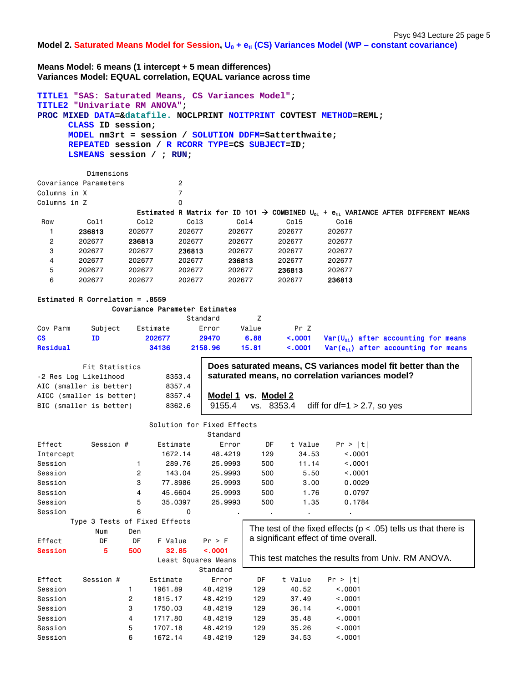Model 2. Saturated Means Model for Session,  $U_0 + e_{ti}$  (CS) Variances Model (WP – constant covariance)

**Means Model: 6 means (1 intercept + 5 mean differences) Variances Model: EQUAL correlation, EQUAL variance across time** 

```
TITLE1 "SAS: Saturated Means, CS Variances Model"; 
TITLE2 "Univariate RM ANOVA"; 
PROC MIXED DATA=&datafile. NOCLPRINT NOITPRINT COVTEST METHOD=REML; 
     CLASS ID session; 
     MODEL nm3rt = session / SOLUTION DDFM=Satterthwaite; 
     REPEATED session / R RCORR TYPE=CS SUBJECT=ID; 
     LSMEANS session / ; RUN; 
         Dimensions 
Covariance Parameters 2 
Columns in X 7
Columns in Z 0
                 Estimated R Matrix for ID 101  COMBINED U0i + eti VARIANCE AFTER DIFFERENT MEANS 
Row Col1 Col2 Col3 Col4 Col5
   1 236813 202677 202677 202677 202677 202677 
   2 202677 236813 202677 202677 202677 202677 
   3 202677 202677 236813 202677 202677 202677 
   4 202677 202677 202677 236813 202677 202677 
   5 202677 202677 202677 202677 236813 202677 
   6 202677 202677 202677 202677 202677 236813
Estimated R Correlation = .8559 
              Covariance Parameter Estimates
```

|          |         |          | Standard |       |      |                                                               |
|----------|---------|----------|----------|-------|------|---------------------------------------------------------------|
| Cov Parm | Subject | Estimate | Error    | Value | Pr 7 |                                                               |
| CS.      | ID      | 202677   | 29470    | 6.88  |      | $\leq$ .0001 Var(U <sub>01</sub> ) after accounting for means |
| Residual |         | 34136    | 2158.96  | 15.81 |      | $\leq$ .0001 Var( $e_{\pm i}$ ) after accounting for means    |

| Fit Statistics<br>-2 Res Log Likelihood             | 8353.4           | Does saturated means, CS variances model fit better than the<br>saturated means, no correlation variances model? |
|-----------------------------------------------------|------------------|------------------------------------------------------------------------------------------------------------------|
| AIC (smaller is better)<br>AICC (smaller is better) | 8357.4<br>8357.4 | Model 1 vs. Model 2                                                                                              |
| BIC (smaller is better)                             | 8362.6           | diff for df=1 $>$ 2.7, so yes<br>vs. 8353.4<br>9155.4                                                            |
|                                                     |                  | Solution for Fixed Effects                                                                                       |

|                |                               |     |          | Standard            |                |         |                                       |                                                                    |
|----------------|-------------------------------|-----|----------|---------------------|----------------|---------|---------------------------------------|--------------------------------------------------------------------|
| Effect         | Session #                     |     | Estimate | Error               | DF             | t Value | Pr >  t                               |                                                                    |
| Intercept      |                               |     | 1672.14  | 48.4219             | 129            | 34.53   | < 0.0001                              |                                                                    |
| Session        |                               |     | 289.76   | 25.9993             | 500            | 11.14   | < .0001                               |                                                                    |
| Session        |                               | 2   | 143.04   | 25.9993             | 500            | 5.50    | < .0001                               |                                                                    |
| Session        |                               | 3   | 77.8986  | 25.9993             | 500            | 3.00    | 0.0029                                |                                                                    |
| Session        |                               | 4   | 45.6604  | 25.9993             | 500            | 1.76    | 0.0797                                |                                                                    |
| Session        |                               | 5   | 35.0397  | 25.9993             | 500            | 1.35    | 0.1784                                |                                                                    |
| Session        |                               | 6   | 0        |                     | $\blacksquare$ |         | $\blacksquare$                        |                                                                    |
|                | Type 3 Tests of Fixed Effects |     |          |                     |                |         |                                       |                                                                    |
|                | Num                           | Den |          |                     |                |         |                                       | The test of the fixed effects ( $p < .05$ ) tells us that there is |
| Effect         | DF                            | DF  | F Value  | Pr > F              |                |         | a significant effect of time overall. |                                                                    |
| <b>Session</b> | 5                             | 500 | 32.85    | < .0001             |                |         |                                       |                                                                    |
|                |                               |     |          | Least Squares Means |                |         |                                       | This test matches the results from Univ. RM ANOVA.                 |
|                |                               |     |          | Standard            |                |         |                                       |                                                                    |
| Effect         | Session #                     |     | Estimate | Error               | DF             | t Value | Pr >  t                               |                                                                    |
|                |                               |     |          |                     | 129            | 40.52   | < 0.001                               |                                                                    |
| Session        |                               |     | 1961.89  | 48.4219             |                |         |                                       |                                                                    |
| Session        |                               | 2   | 1815.17  | 48.4219             | 129            | 37.49   | < 0.001                               |                                                                    |
| Session        |                               | 3   | 1750.03  | 48.4219             | 129            | 36.14   | < 0.001                               |                                                                    |

Session 5 1707.18 48.4219 129 35.26 <.0001 Session 6 1672.14 48.4219 129 34.53 <.0001